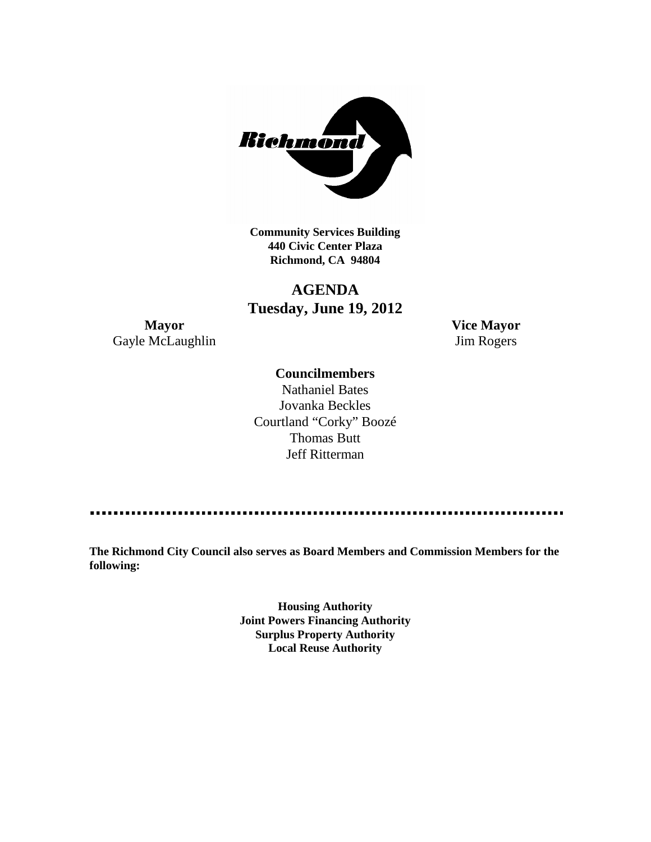

**Community Services Building 440 Civic Center Plaza Richmond, CA 94804**

# **AGENDA Tuesday, June 19, 2012**

**Mayor Vice Mayor** Gayle McLaughlin Jim Rogers

# **Councilmembers**

Nathaniel Bates Jovanka Beckles Courtland "Corky" Boozé Thomas Butt Jeff Ritterman

**The Richmond City Council also serves as Board Members and Commission Members for the following:**

> **Housing Authority Joint Powers Financing Authority Surplus Property Authority Local Reuse Authority**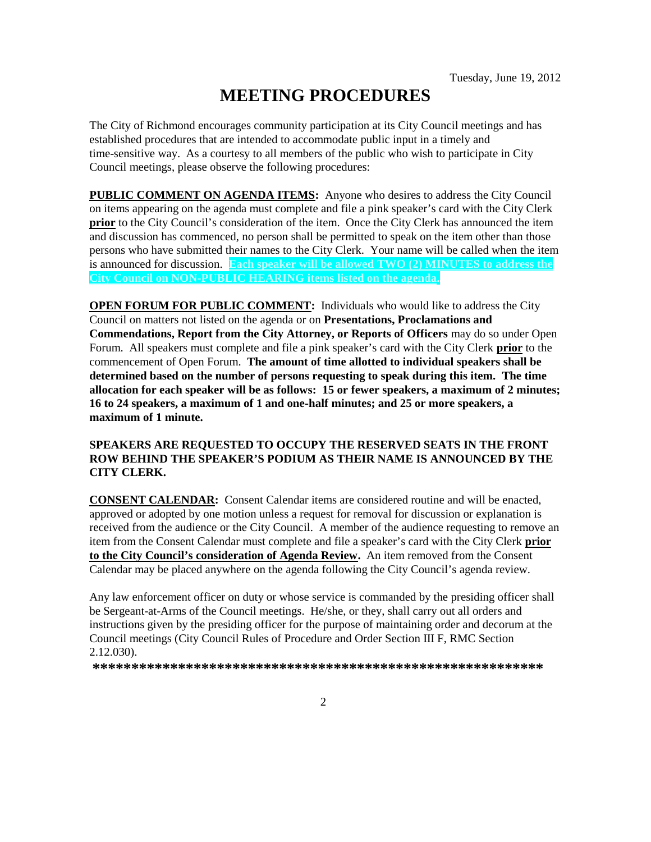# **MEETING PROCEDURES**

The City of Richmond encourages community participation at its City Council meetings and has established procedures that are intended to accommodate public input in a timely and time-sensitive way. As a courtesy to all members of the public who wish to participate in City Council meetings, please observe the following procedures:

**PUBLIC COMMENT ON AGENDA ITEMS:** Anyone who desires to address the City Council on items appearing on the agenda must complete and file a pink speaker's card with the City Clerk **prior** to the City Council's consideration of the item. Once the City Clerk has announced the item and discussion has commenced, no person shall be permitted to speak on the item other than those persons who have submitted their names to the City Clerk. Your name will be called when the item is announced for discussion. **Each speaker will be allowed TWO (2) MINUTES to address the City Council on NON-PUBLIC HEARING items listed on the agenda.**

**OPEN FORUM FOR PUBLIC COMMENT:** Individuals who would like to address the City Council on matters not listed on the agenda or on **Presentations, Proclamations and Commendations, Report from the City Attorney, or Reports of Officers** may do so under Open Forum. All speakers must complete and file a pink speaker's card with the City Clerk **prior** to the commencement of Open Forum. **The amount of time allotted to individual speakers shall be determined based on the number of persons requesting to speak during this item. The time allocation for each speaker will be as follows: 15 or fewer speakers, a maximum of 2 minutes; 16 to 24 speakers, a maximum of 1 and one-half minutes; and 25 or more speakers, a maximum of 1 minute.**

### **SPEAKERS ARE REQUESTED TO OCCUPY THE RESERVED SEATS IN THE FRONT ROW BEHIND THE SPEAKER'S PODIUM AS THEIR NAME IS ANNOUNCED BY THE CITY CLERK.**

**CONSENT CALENDAR:** Consent Calendar items are considered routine and will be enacted, approved or adopted by one motion unless a request for removal for discussion or explanation is received from the audience or the City Council. A member of the audience requesting to remove an item from the Consent Calendar must complete and file a speaker's card with the City Clerk **prior to the City Council's consideration of Agenda Review.** An item removed from the Consent Calendar may be placed anywhere on the agenda following the City Council's agenda review.

Any law enforcement officer on duty or whose service is commanded by the presiding officer shall be Sergeant-at-Arms of the Council meetings. He/she, or they, shall carry out all orders and instructions given by the presiding officer for the purpose of maintaining order and decorum at the Council meetings (City Council Rules of Procedure and Order Section III F, RMC Section 2.12.030).

**\*\*\*\*\*\*\*\*\*\*\*\*\*\*\*\*\*\*\*\*\*\*\*\*\*\*\*\*\*\*\*\*\*\*\*\*\*\*\*\*\*\*\*\*\*\*\*\*\*\*\*\*\*\*\*\*\*\***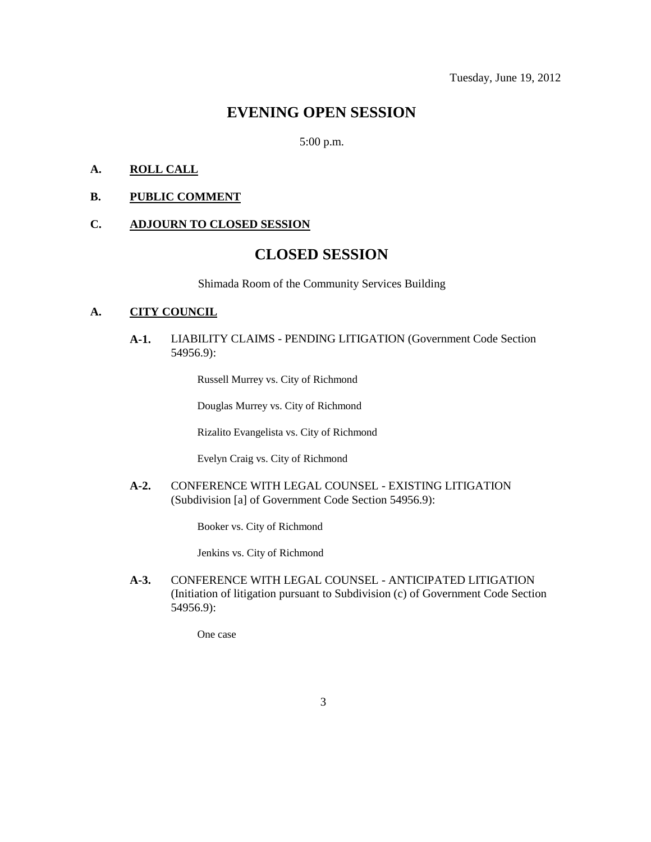# **EVENING OPEN SESSION**

5:00 p.m.

# **A. ROLL CALL**

#### **B. PUBLIC COMMENT**

# **C. ADJOURN TO CLOSED SESSION**

# **CLOSED SESSION**

Shimada Room of the Community Services Building

#### **A. CITY COUNCIL**

**A-1.** LIABILITY CLAIMS - PENDING LITIGATION (Government Code Section 54956.9):

Russell Murrey vs. City of Richmond

Douglas Murrey vs. City of Richmond

Rizalito Evangelista vs. City of Richmond

Evelyn Craig vs. City of Richmond

**A-2.** CONFERENCE WITH LEGAL COUNSEL - EXISTING LITIGATION (Subdivision [a] of Government Code Section 54956.9):

Booker vs. City of Richmond

Jenkins vs. City of Richmond

**A-3.** CONFERENCE WITH LEGAL COUNSEL - ANTICIPATED LITIGATION (Initiation of litigation pursuant to Subdivision (c) of Government Code Section 54956.9):

One case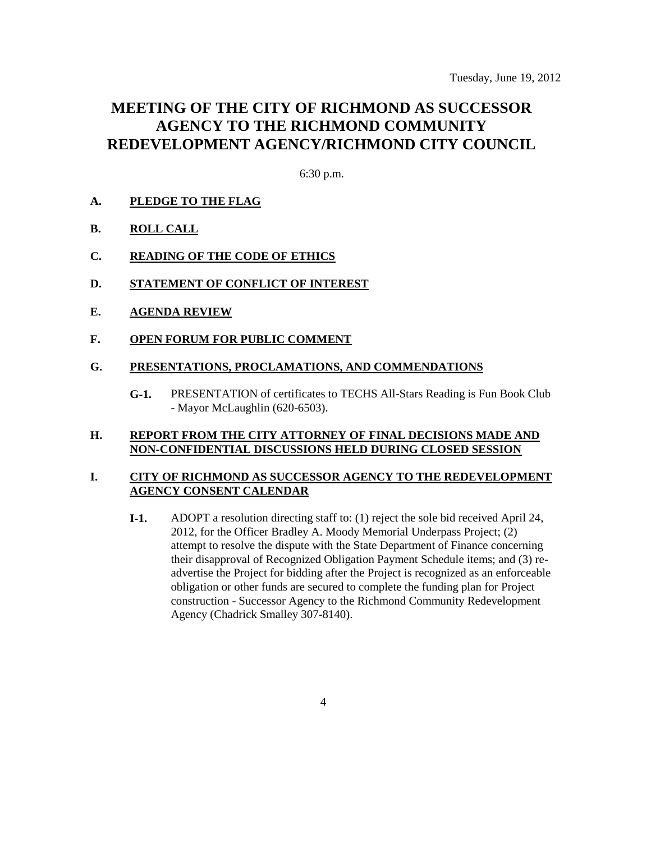# **MEETING OF THE CITY OF RICHMOND AS SUCCESSOR AGENCY TO THE RICHMOND COMMUNITY REDEVELOPMENT AGENCY/RICHMOND CITY COUNCIL**

6:30 p.m.

- **A. PLEDGE TO THE FLAG**
- **B. ROLL CALL**
- **C. READING OF THE CODE OF ETHICS**
- **D. STATEMENT OF CONFLICT OF INTEREST**
- **E. AGENDA REVIEW**
- **F. OPEN FORUM FOR PUBLIC COMMENT**

#### **G. PRESENTATIONS, PROCLAMATIONS, AND COMMENDATIONS**

**G-1.** PRESENTATION of certificates to TECHS All-Stars Reading is Fun Book Club - Mayor McLaughlin (620-6503).

#### **H. REPORT FROM THE CITY ATTORNEY OF FINAL DECISIONS MADE AND NON-CONFIDENTIAL DISCUSSIONS HELD DURING CLOSED SESSION**

# **I. CITY OF RICHMOND AS SUCCESSOR AGENCY TO THE REDEVELOPMENT AGENCY CONSENT CALENDAR**

**I-1.** ADOPT a resolution directing staff to: (1) reject the sole bid received April 24, 2012, for the Officer Bradley A. Moody Memorial Underpass Project; (2) attempt to resolve the dispute with the State Department of Finance concerning their disapproval of Recognized Obligation Payment Schedule items; and (3) readvertise the Project for bidding after the Project is recognized as an enforceable obligation or other funds are secured to complete the funding plan for Project construction - Successor Agency to the Richmond Community Redevelopment Agency (Chadrick Smalley 307-8140).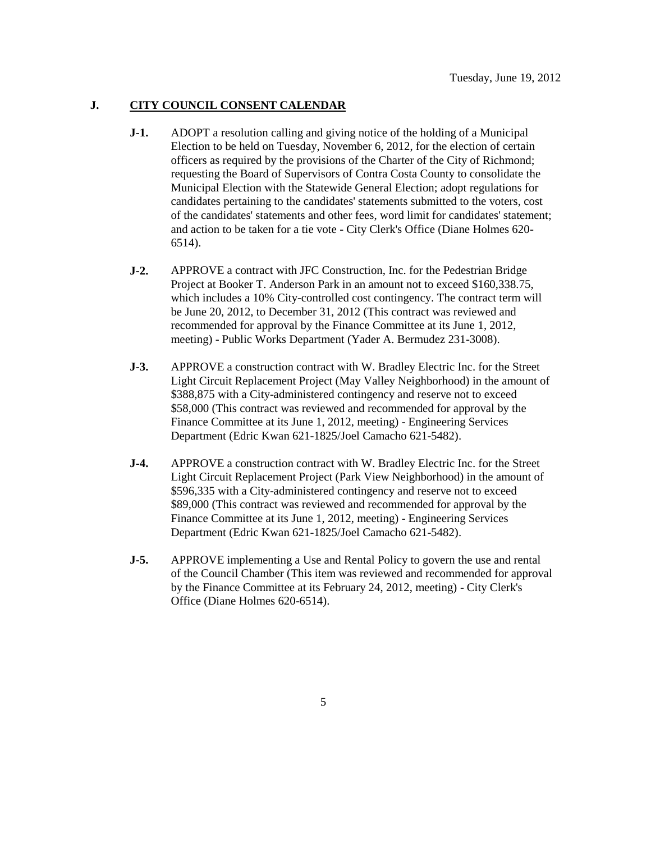# **J. CITY COUNCIL CONSENT CALENDAR**

- **J-1.** ADOPT a resolution calling and giving notice of the holding of a Municipal Election to be held on Tuesday, November 6, 2012, for the election of certain officers as required by the provisions of the Charter of the City of Richmond; requesting the Board of Supervisors of Contra Costa County to consolidate the Municipal Election with the Statewide General Election; adopt regulations for candidates pertaining to the candidates' statements submitted to the voters, cost of the candidates' statements and other fees, word limit for candidates' statement; and action to be taken for a tie vote - City Clerk's Office (Diane Holmes 620- 6514).
- **J-2.** APPROVE a contract with JFC Construction, Inc. for the Pedestrian Bridge Project at Booker T. Anderson Park in an amount not to exceed \$160,338.75, which includes a 10% City-controlled cost contingency. The contract term will be June 20, 2012, to December 31, 2012 (This contract was reviewed and recommended for approval by the Finance Committee at its June 1, 2012, meeting) - Public Works Department (Yader A. Bermudez 231-3008).
- **J-3.** APPROVE a construction contract with W. Bradley Electric Inc. for the Street Light Circuit Replacement Project (May Valley Neighborhood) in the amount of \$388,875 with a City-administered contingency and reserve not to exceed \$58,000 (This contract was reviewed and recommended for approval by the Finance Committee at its June 1, 2012, meeting) - Engineering Services Department (Edric Kwan 621-1825/Joel Camacho 621-5482).
- **J-4.** APPROVE a construction contract with W. Bradley Electric Inc. for the Street Light Circuit Replacement Project (Park View Neighborhood) in the amount of \$596,335 with a City-administered contingency and reserve not to exceed \$89,000 (This contract was reviewed and recommended for approval by the Finance Committee at its June 1, 2012, meeting) - Engineering Services Department (Edric Kwan 621-1825/Joel Camacho 621-5482).
- **J-5.** APPROVE implementing a Use and Rental Policy to govern the use and rental of the Council Chamber (This item was reviewed and recommended for approval by the Finance Committee at its February 24, 2012, meeting) - City Clerk's Office (Diane Holmes 620-6514).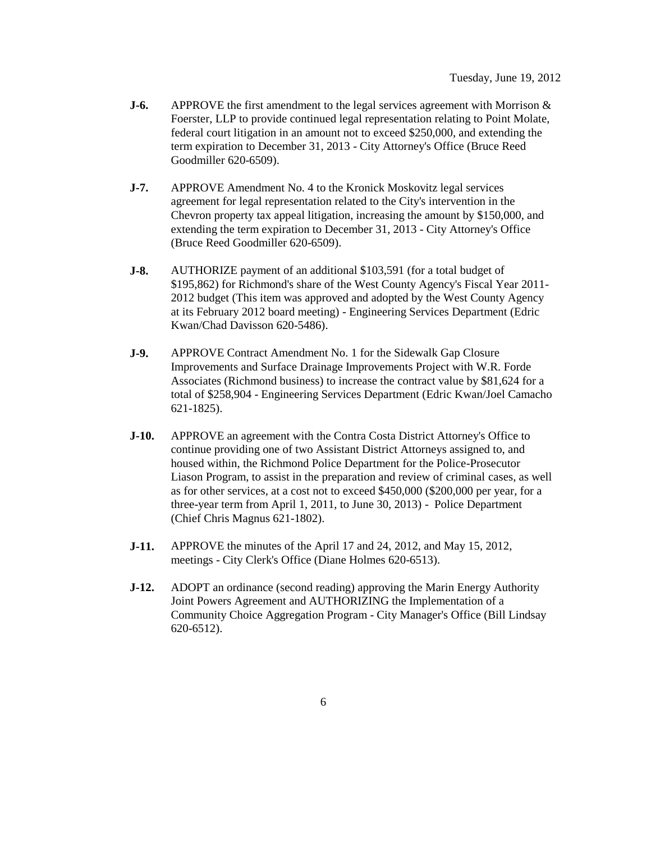- **J-6.** APPROVE the first amendment to the legal services agreement with Morrison & Foerster, LLP to provide continued legal representation relating to Point Molate, federal court litigation in an amount not to exceed \$250,000, and extending the term expiration to December 31, 2013 - City Attorney's Office (Bruce Reed Goodmiller 620-6509).
- **J-7.** APPROVE Amendment No. 4 to the Kronick Moskovitz legal services agreement for legal representation related to the City's intervention in the Chevron property tax appeal litigation, increasing the amount by \$150,000, and extending the term expiration to December 31, 2013 - City Attorney's Office (Bruce Reed Goodmiller 620-6509).
- **J-8.** AUTHORIZE payment of an additional \$103,591 (for a total budget of \$195,862) for Richmond's share of the West County Agency's Fiscal Year 2011- 2012 budget (This item was approved and adopted by the West County Agency at its February 2012 board meeting) - Engineering Services Department (Edric Kwan/Chad Davisson 620-5486).
- **J-9.** APPROVE Contract Amendment No. 1 for the Sidewalk Gap Closure Improvements and Surface Drainage Improvements Project with W.R. Forde Associates (Richmond business) to increase the contract value by \$81,624 for a total of \$258,904 - Engineering Services Department (Edric Kwan/Joel Camacho 621-1825).
- **J-10.** APPROVE an agreement with the Contra Costa District Attorney's Office to continue providing one of two Assistant District Attorneys assigned to, and housed within, the Richmond Police Department for the Police-Prosecutor Liason Program, to assist in the preparation and review of criminal cases, as well as for other services, at a cost not to exceed \$450,000 (\$200,000 per year, for a three-year term from April 1, 2011, to June 30, 2013) - Police Department (Chief Chris Magnus 621-1802).
- **J-11.** APPROVE the minutes of the April 17 and 24, 2012, and May 15, 2012, meetings - City Clerk's Office (Diane Holmes 620-6513).
- **J-12.** ADOPT an ordinance (second reading) approving the Marin Energy Authority Joint Powers Agreement and AUTHORIZING the Implementation of a Community Choice Aggregation Program - City Manager's Office (Bill Lindsay 620-6512).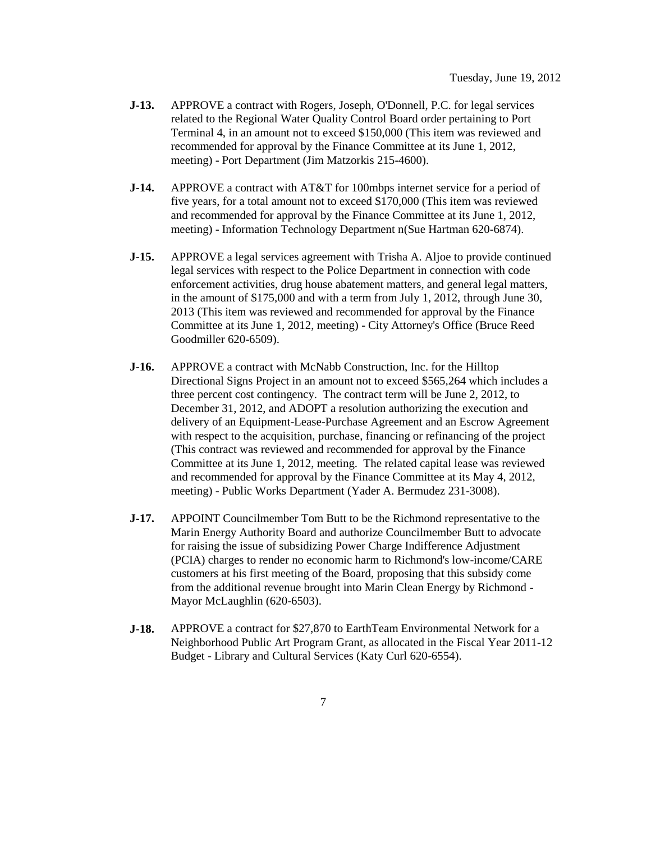- **J-13.** APPROVE a contract with Rogers, Joseph, O'Donnell, P.C. for legal services related to the Regional Water Quality Control Board order pertaining to Port Terminal 4, in an amount not to exceed \$150,000 (This item was reviewed and recommended for approval by the Finance Committee at its June 1, 2012, meeting) - Port Department (Jim Matzorkis 215-4600).
- **J-14.** APPROVE a contract with AT&T for 100mbps internet service for a period of five years, for a total amount not to exceed \$170,000 (This item was reviewed and recommended for approval by the Finance Committee at its June 1, 2012, meeting) - Information Technology Department n(Sue Hartman 620-6874).
- **J-15.** APPROVE a legal services agreement with Trisha A. Aljoe to provide continued legal services with respect to the Police Department in connection with code enforcement activities, drug house abatement matters, and general legal matters, in the amount of \$175,000 and with a term from July 1, 2012, through June 30, 2013 (This item was reviewed and recommended for approval by the Finance Committee at its June 1, 2012, meeting) - City Attorney's Office (Bruce Reed Goodmiller 620-6509).
- **J-16.** APPROVE a contract with McNabb Construction, Inc. for the Hilltop Directional Signs Project in an amount not to exceed \$565,264 which includes a three percent cost contingency. The contract term will be June 2, 2012, to December 31, 2012, and ADOPT a resolution authorizing the execution and delivery of an Equipment-Lease-Purchase Agreement and an Escrow Agreement with respect to the acquisition, purchase, financing or refinancing of the project (This contract was reviewed and recommended for approval by the Finance Committee at its June 1, 2012, meeting. The related capital lease was reviewed and recommended for approval by the Finance Committee at its May 4, 2012, meeting) - Public Works Department (Yader A. Bermudez 231-3008).
- **J-17.** APPOINT Councilmember Tom Butt to be the Richmond representative to the Marin Energy Authority Board and authorize Councilmember Butt to advocate for raising the issue of subsidizing Power Charge Indifference Adjustment (PCIA) charges to render no economic harm to Richmond's low-income/CARE customers at his first meeting of the Board, proposing that this subsidy come from the additional revenue brought into Marin Clean Energy by Richmond - Mayor McLaughlin (620-6503).
- **J-18.** APPROVE a contract for \$27,870 to EarthTeam Environmental Network for a Neighborhood Public Art Program Grant, as allocated in the Fiscal Year 2011-12 Budget - Library and Cultural Services (Katy Curl 620-6554).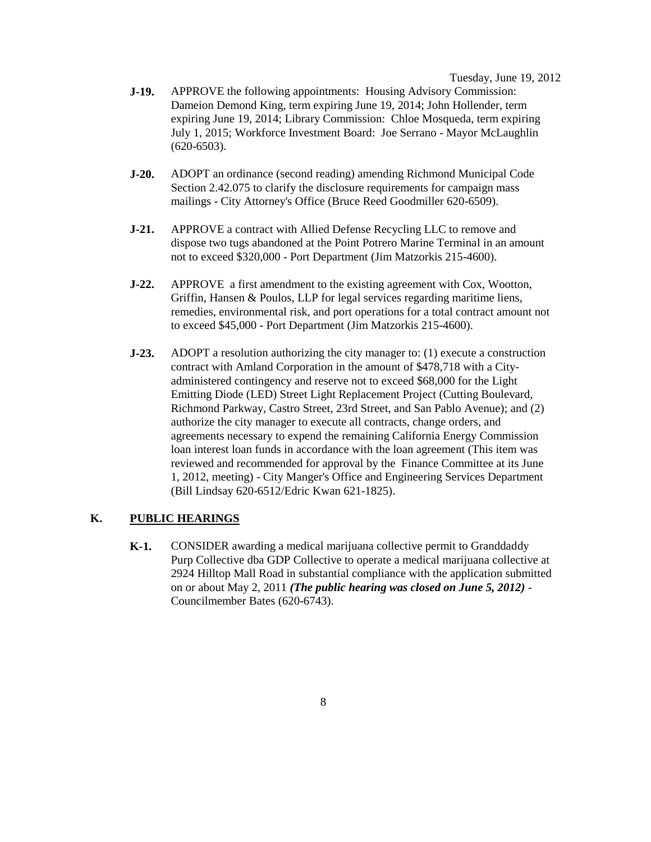Tuesday, June 19, 2012

- **J-19.** APPROVE the following appointments: Housing Advisory Commission: Dameion Demond King, term expiring June 19, 2014; John Hollender, term expiring June 19, 2014; Library Commission: Chloe Mosqueda, term expiring July 1, 2015; Workforce Investment Board: Joe Serrano - Mayor McLaughlin  $(620-6503)$ .
- **J-20.** ADOPT an ordinance (second reading) amending Richmond Municipal Code Section 2.42.075 to clarify the disclosure requirements for campaign mass mailings - City Attorney's Office (Bruce Reed Goodmiller 620-6509).
- **J-21.** APPROVE a contract with Allied Defense Recycling LLC to remove and dispose two tugs abandoned at the Point Potrero Marine Terminal in an amount not to exceed \$320,000 - Port Department (Jim Matzorkis 215-4600).
- **J-22.** APPROVE a first amendment to the existing agreement with Cox, Wootton, Griffin, Hansen & Poulos, LLP for legal services regarding maritime liens, remedies, environmental risk, and port operations for a total contract amount not to exceed \$45,000 - Port Department (Jim Matzorkis 215-4600).
- **J-23.** ADOPT a resolution authorizing the city manager to: (1) execute a construction contract with Amland Corporation in the amount of \$478,718 with a Cityadministered contingency and reserve not to exceed \$68,000 for the Light Emitting Diode (LED) Street Light Replacement Project (Cutting Boulevard, Richmond Parkway, Castro Street, 23rd Street, and San Pablo Avenue); and (2) authorize the city manager to execute all contracts, change orders, and agreements necessary to expend the remaining California Energy Commission loan interest loan funds in accordance with the loan agreement (This item was reviewed and recommended for approval by the Finance Committee at its June 1, 2012, meeting) - City Manger's Office and Engineering Services Department (Bill Lindsay 620-6512/Edric Kwan 621-1825).

### **K. PUBLIC HEARINGS**

**K-1.** CONSIDER awarding a medical marijuana collective permit to Granddaddy Purp Collective dba GDP Collective to operate a medical marijuana collective at 2924 Hilltop Mall Road in substantial compliance with the application submitted on or about May 2, 2011 *(The public hearing was closed on June 5, 2012)* - Councilmember Bates (620-6743).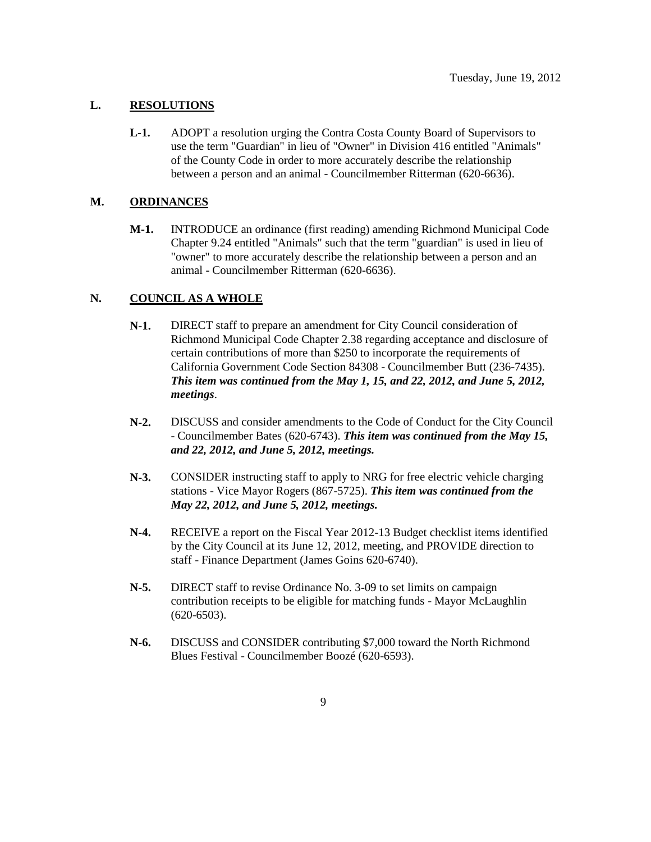# **L. RESOLUTIONS**

**L-1.** ADOPT a resolution urging the Contra Costa County Board of Supervisors to use the term "Guardian" in lieu of "Owner" in Division 416 entitled "Animals" of the County Code in order to more accurately describe the relationship between a person and an animal - Councilmember Ritterman (620-6636).

#### **M. ORDINANCES**

**M-1.** INTRODUCE an ordinance (first reading) amending Richmond Municipal Code Chapter 9.24 entitled "Animals" such that the term "guardian" is used in lieu of "owner" to more accurately describe the relationship between a person and an animal - Councilmember Ritterman (620-6636).

# **N. COUNCIL AS A WHOLE**

- **N-1.** DIRECT staff to prepare an amendment for City Council consideration of Richmond Municipal Code Chapter 2.38 regarding acceptance and disclosure of certain contributions of more than \$250 to incorporate the requirements of California Government Code Section 84308 - Councilmember Butt (236-7435). *This item was continued from the May 1, 15, and 22, 2012, and June 5, 2012, meetings*.
- **N-2.** DISCUSS and consider amendments to the Code of Conduct for the City Council - Councilmember Bates (620-6743). *This item was continued from the May 15, and 22, 2012, and June 5, 2012, meetings.*
- **N-3.** CONSIDER instructing staff to apply to NRG for free electric vehicle charging stations - Vice Mayor Rogers (867-5725). *This item was continued from the May 22, 2012, and June 5, 2012, meetings.*
- **N-4.** RECEIVE a report on the Fiscal Year 2012-13 Budget checklist items identified by the City Council at its June 12, 2012, meeting, and PROVIDE direction to staff - Finance Department (James Goins 620-6740).
- **N-5.** DIRECT staff to revise Ordinance No. 3-09 to set limits on campaign contribution receipts to be eligible for matching funds - Mayor McLaughlin (620-6503).
- **N-6.** DISCUSS and CONSIDER contributing \$7,000 toward the North Richmond Blues Festival - Councilmember Boozé (620-6593).